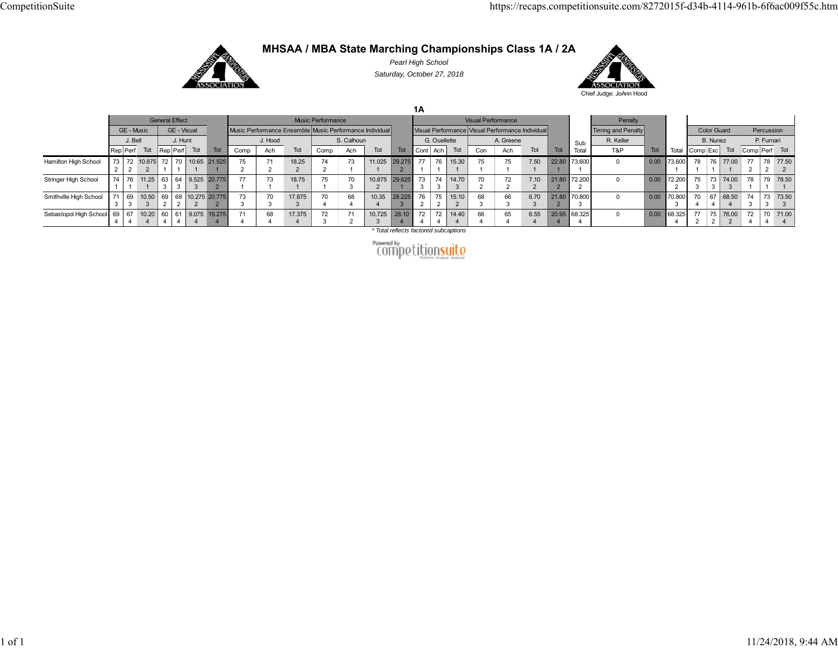

## **MHSAA / MBA State Marching Championships Class 1A / 2A**

*Pearl High School Saturday, October 27, 2018*



**1A** General Effect **Music Performance** Music Performance **Visual Performance** Visual Performance Sub Total Penalty Total GE - Music GE - Visual Music Performance Ensemble Music Performance Individual Visual Performance Visual Performance Individual Timing and Penalty Color Guard Percussion J. Bell J. Hunt | J. Hood | S. Calhoun | G. Ouellette | A. Greene | <sub>S. ub</sub> R. Keller | B. Nunez | P. Furnari Rep|Perf| Tot |Rep|Perf| Tot | Comp | Ach Tot | Comp | Ach | Tot | Tot | Cont |Ach | Tot | Tot | Tot | Total | Tot | Tot | Tot | Total | Comp|Cxc | Tot | Comp|Perf| Tot Hamilton High School  $\frac{73}{2}$  72 2 10.875 2 72 170 110.65 21.525 1175 271 218.25 274 273 111.025 129.275 2 77 176 115.30 175 175 17.50 122.80 173.600 10 0.00 73.600  $\overline{1}$ 78 176 177.00 1 77 2 78 277.50 2 Stringer High School 1 76 1 11.25 1 63 3 64 3 9.525 3 20.775 2 77 173 118.75 175 170 310.875 2 29.625 1 73 374 3 14.70 3 70 272 27.10 2 21.80 2 72.200 2 0 0.00 72.200 75 373 3 74.00 3 78 179 178.50 1 Smithville High School  $\frac{71}{3}$ 69 3 10.50 3 69 2 68 2 10.275 2 20.775 2 73 370 317.875 370 468 410.35 428.225 3 76 275 215.10 2 68 366 36.70 321.80 2 70.800 3 0 0.00 70.800 370 467 468.50 4 74 373 373.50 3 Sebastopol High School  $\begin{array}{c} 69 \\ 4 \end{array}$ 67 4 10.20 4 60 4 61 4 9.075 4 19.275 4 71 468 417.375 4 72 3 71 2 10.725 3 28.10 4 72 472 4 14.40 4 66 4 65 46.55 4 20.95 4 68.325 4 0 0.00 68.325 4 77 2 75 2 76.00 2 72 4 70 4 71.00 4

*\* Total reflects factored subcaptions*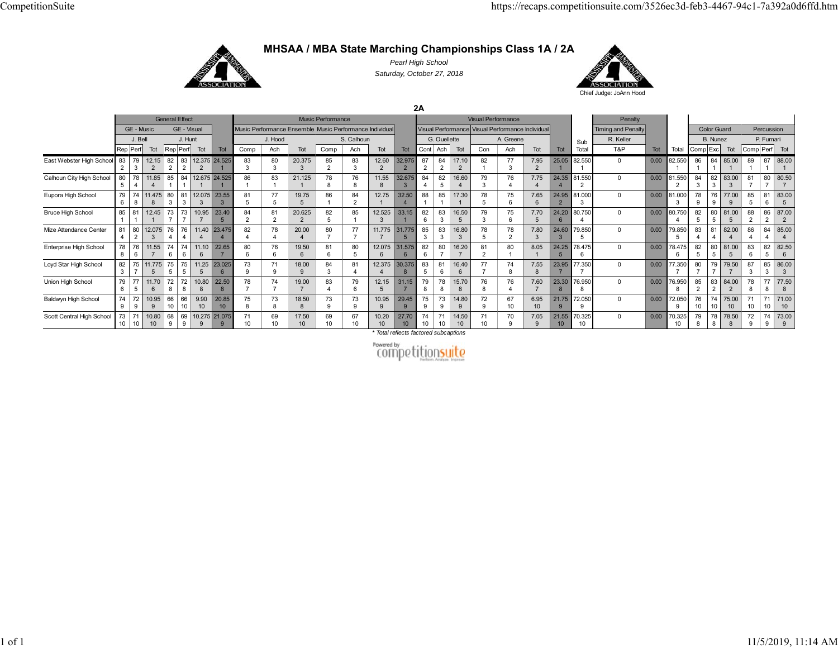

**MHSAA / MBA State Marching Championships Class 1A / 2A**

*Pearl High School Saturday, October 27, 2018*



**2A**

|                                |    |                |                          | <b>General Effect</b> |             |            |                           |      |                     |             | Music Performance |                |                                                         |                          |                      |                      |             | <b>Visual Performance</b> |                                                  |                          |             |              | Penalty                   |      |              |          |                    |             |               |            |             |
|--------------------------------|----|----------------|--------------------------|-----------------------|-------------|------------|---------------------------|------|---------------------|-------------|-------------------|----------------|---------------------------------------------------------|--------------------------|----------------------|----------------------|-------------|---------------------------|--------------------------------------------------|--------------------------|-------------|--------------|---------------------------|------|--------------|----------|--------------------|-------------|---------------|------------|-------------|
|                                |    | GE - Music     |                          |                       | GE - Visual |            |                           |      |                     |             |                   |                | Music Performance Ensemble Music Performance Individual |                          |                      |                      |             |                           | Visual Performance Visual Performance Individual |                          |             |              | <b>Timing and Penalty</b> |      |              |          | <b>Color Guard</b> |             |               | Percussion |             |
|                                |    | J. Bell        |                          |                       | J. Hunt     |            |                           |      | J. Hood             |             |                   | S. Calhoun     |                                                         |                          |                      | G. Ouellette         |             |                           | A. Greene                                        |                          |             | Sub          | R. Keller                 |      |              |          | B. Nunez           |             |               | P. Furnari |             |
|                                |    | Rep Perf       | Tot                      |                       | Rep Perf    | Tot        | Tot                       | Comp | Ach                 | Tot         | Comp              | Ach            | Tot                                                     | Tot                      | Cont                 | Ach                  | Tot         | Con                       | Ach                                              | Tot                      | <b>Tot</b>  | Total        | T&P                       | Tot  | Total        | Comp Exc |                    | Tot         | Comp Perf Tot |            |             |
| East Webster High School 83 79 |    |                | 12.15                    | 82                    |             |            | 83 12.375 24.525          | 83   | 80<br>$\mathcal{R}$ | 20.375      | 85                | 83<br>ঽ        | 12.60                                                   | 32.975<br>$\overline{2}$ | 87<br>$\overline{2}$ | 84<br>$\overline{2}$ | 17.10       | 82                        | 77                                               | 7.95<br>$\overline{2}$   | 25.05       | 82.550       | $\mathbf 0$               | 0.00 | 82.550       | 86       |                    | 84 85.00    | 89            |            | 87 88.00    |
| Calhoun City High School       | 80 | 78             | 11.85                    | 85                    |             |            | 84 12.675 24.525          | 86   | 83                  | 21.125      | 78                | 76             | 11.55                                                   | 32.675                   | 84                   | 82                   | 16.60       | 79                        | 76                                               | 7.75                     |             | 24.35 81.550 | $\Omega$                  | 0.00 | 81.550       | 84       | 82                 | 83.00       | 81            |            | 80 80.50    |
| Eupora High School             | 79 | 74             | 11.475                   | 80                    | 81 L        | 12.075     | 23.55<br>3                | 81   | 77<br>5             | 19.75       |                   | 84<br>$\Omega$ | 12.75                                                   | 32.50                    | 88                   | 85                   | 17.30       |                           | 75                                               | 7.65<br>$6 \overline{6}$ |             | 24.95 81.000 | $\Omega$                  | 0.00 | 81.000       | 78       | 76                 | 77.00       | 85            | 81         | 83.00       |
| <b>Bruce High School</b>       | 85 | 81             | 12.45                    | 73                    | 73          | 10.95      | 23.40                     | 84   | 81<br>$\mathcal{P}$ | 20.625      | 82                | 85             | 12.525                                                  | 33.15                    | 82                   | 83                   | 16.50       | 79                        | 75                                               | 7.70                     | 24.20       | 80.750       | $\mathbf 0$               | 0.00 | 80.750       | 82       | 80                 | 81.00       | 88            |            | 86 87.00    |
| Mize Attendance Center         | 81 | 80             | 12.075                   | 76                    | 76          | 11.40      | 23,475                    | 82   | 78                  | 20.00       | 80                | 77             | 11,775                                                  | 31,775<br>$\overline{5}$ | 85                   | 83                   | 16.80       | 78                        | 78                                               | 7.80                     | 24.60       | 79.850       | $\Omega$                  | 0.00 | 79.850       | 83       | 81                 | 82.00       | 86            |            | 84 85.00    |
| Enterprise High School         | 78 | 76             | 11.55                    | 74<br>$\epsilon$      | 74          | 11.10      | 22.65                     | 80   | 76                  | 19.50       | 81                | 80             | 12.075                                                  | 31.575<br>6              | 82                   | 80                   | 16.20       | 81                        | 80                                               | 8.05                     | 24.25       | 78.475       | $\Omega$                  | 0.00 | 78.475       | 82       | 80                 | 81.00       | 83            | 82         | 82.50       |
| Loyd Star High School          | 82 | 75             | 11.775                   | 75                    | 75          | 11.25      | 23.025<br>6               | 73   | 71<br>Q             | 18.00       | 84                | 81             | 12.375                                                  | 30.375<br>8              | 83                   | 81                   | 16.40       |                           | 74                                               | 7.55<br>8                | 23.95       | 77.350       | $\Omega$                  | 0.00 | 77.350       | 80       | 79                 | 79.50       | 87            | 85         | 86.00       |
| Union High School              | 79 | 77             | 11.70                    | 72                    | 72          | 10.80      | 22.50<br>8                | 78   | 74                  | 19.00       | 83                | 79             | 12.15                                                   | 31.15                    | 79                   | 78                   | 15.70       | 76                        | 76                                               | 7.60                     | 23.30       | 76.950       | $\Omega$                  | 0.00 | 76.950       | 85       | 83                 | 84.00       | 78            | 77         | 77.50       |
| Baldwyn High School            | 74 | 72             | 10.95                    | 66<br>10              | 66<br>10    | 9.90<br>10 | 20.85<br>10 <sup>10</sup> | 75   | 73                  | 18.50       | 73                | 73<br>a        | 10.95                                                   | 29.45<br>9               | 75                   | 73                   | 14.80       | 72<br>Q                   | 67<br>10 <sup>1</sup>                            | 6.95<br>10 <sup>°</sup>  | 21.75       | 72.050       | $\Omega$                  | 0.00 | 72.050<br>9  | 76       | 74<br>10           | 75.00<br>10 | -10           |            | 71.00<br>10 |
| Scott Central High School      |    | 73 71<br>10 10 | 10.80<br>10 <sup>°</sup> | 68<br>9               | 69          |            | 10.275 21.075<br>9        | 71   | 69<br>10            | 17.50<br>10 | 69<br>10          | 67<br>10       | 10.20<br>10 <sup>1</sup>                                | 27.70<br>10 <sup>°</sup> | 74<br>10             | 10                   | 14.50<br>10 | 71                        | 70                                               | 7.05<br>$\mathbf{Q}$     | 21.55<br>10 | 70.325       | $\Omega$                  | 0.00 | 70.325<br>10 | 79       | 78 l<br>8          | 78.50<br>8  | 72            | 74         | 73.00       |

*\* Total reflects factored subcaptions*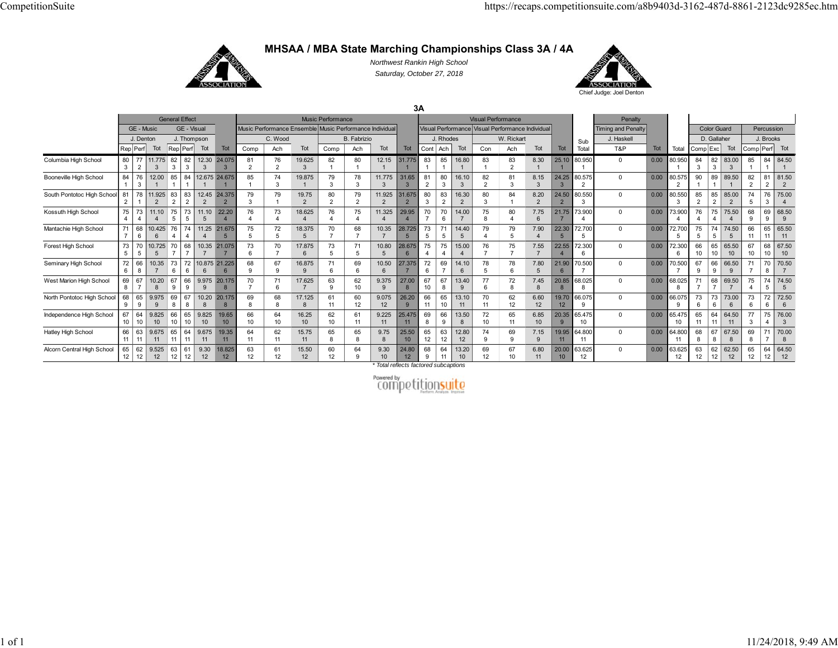

**MHSAA / MBA State Marching Championships Class 3A / 4A**

*Northwest Rankin High School Saturday, October 27, 2018*



**3A**

|                            |          |                      |             |          | <b>General Effect</b> |             |                          |                               |                      |                                                        | <b>Music Performance</b> |                |                          |                           |          |                      |                          | <b>Visual Performance</b> |                                                  |                          |             |              | Penalty                   |      |                        |                     |                    |                           |          |             |             |
|----------------------------|----------|----------------------|-------------|----------|-----------------------|-------------|--------------------------|-------------------------------|----------------------|--------------------------------------------------------|--------------------------|----------------|--------------------------|---------------------------|----------|----------------------|--------------------------|---------------------------|--------------------------------------------------|--------------------------|-------------|--------------|---------------------------|------|------------------------|---------------------|--------------------|---------------------------|----------|-------------|-------------|
|                            |          | GE - Music           |             |          | GE - Visual           |             |                          |                               |                      | Music Performance Ensemble Music Performance Individua |                          |                |                          |                           |          |                      |                          |                           | Visual Performance Visual Performance Individual |                          |             |              | <b>Timing and Penalty</b> |      |                        |                     | <b>Color Guard</b> |                           |          | Percussion  |             |
|                            |          | J. Denton            |             |          | J. Thompson           |             |                          |                               | C. Wood              |                                                        |                          | B. Fabrizio    |                          |                           |          | J. Rhodes            |                          |                           | W. Rickart                                       |                          |             | Sub          | J. Haskell                |      |                        |                     | D. Gallaher        |                           |          | J. Brooks   |             |
|                            |          | Rep Perf             | Tot         |          | Rep Perf              | Tot         | Tot                      | Comp                          | Ach                  | Tot                                                    | Comp                     | Ach            | Tot                      | Tot                       | Cont     | Ach                  | Tot                      | Con                       | Ach                                              | Tot                      | Tot         | Total        | T&P                       | Tot  | Total                  | Comp <sup>Exc</sup> |                    | Tot                       | Comp     | Perf Tot    |             |
| Columbia High School       | 80<br>3  | 77<br>$\overline{2}$ | 11,775      | 82<br>3  | 82<br>3               | 12.30<br>3  | 24,075<br>3              | 81<br>$\overline{\mathbf{c}}$ | 76<br>$\overline{2}$ | 19.625<br>$\mathcal{R}$                                | 82                       | 80             | 12.15                    | 31.775                    | 83       | 85                   | 16.80                    | 83                        | 83<br>$\overline{2}$                             | 8.30                     | 25.10       | 80.950       | $\mathbf 0$               | 0.00 | 80.950                 | 84                  | 82<br>3            | 83.00                     | 85       | 84 l        | 84.50       |
| Booneville High School     | 84       | 76                   | 12.00       | 85       | 84                    |             | 12.675 24.675            | 85                            | 74<br>٩              | 19.875                                                 | 79<br>3                  | 78             | 11.775<br>3              | 31.65                     | 81       | 80                   | 16.10                    | 82<br>$\Omega$            | 81<br>3                                          | 8.15                     | 24.25       | 80.575       | $\Omega$                  | 0.00 | 80.575                 | 90                  | 89                 | 89.50                     | 82       | $8^{\circ}$ | 81.50       |
| South Pontotoc High School | 81       | 78                   | 11.925      | 83       | 83                    | 12.45       | 24,375<br>$\overline{2}$ | 79                            | 79                   | 19.75<br>$\overline{2}$                                | 80                       | 79             | 11.925<br>$\overline{2}$ | 31.675                    | 80       | 83<br>$\overline{2}$ | 16.30<br>$\overline{2}$  | 80<br>3                   | 84                                               | 8.20<br>$\overline{2}$   | 24.50       | 80.550       | $\Omega$                  | 0.00 | 80.550                 | 85                  | 85                 | 85.00                     | 74       | 76          | 75.00       |
| Kossuth High School        | 75       | 73                   | 11.10       | 75       | 73<br>5               | 11.10<br>5  | 22.20                    | 76                            | 73                   | 18.625                                                 | 76                       | 75             | 11.325                   | 29.95                     | 70       | 70<br>6              | 14.00                    | 75<br>$\mathbf{a}$        | 80                                               | 7.75                     | 21.75       | 73,900       | $\Omega$                  | 0.00 | 73.900                 | 76                  | 75                 | 75.50                     | 68<br>9  | 69<br>9     | 68.50       |
| Mantachie High School      | 71       | 68                   | 10.425      | 76       | 74                    | 11.25       | 21.675                   | 75                            | 72                   | 18.375                                                 | 70                       | 68             | 10.35                    | 28.725                    | 73       | 71                   | 14.40                    | 79                        | 79                                               | 7.90                     | 22.30       | 72.700       | $\Omega$                  | 0.00 | 72.70                  | 75                  | 74<br>5            | 74.50                     | 66       | 65          | 65.50       |
| Forest High School         | 73<br>5  | 5                    | 10.725      | 70       | 68                    | 10.35       | 21.075                   | 73<br>6                       | 70                   | 17.875<br>6                                            | 73                       | 71<br>5        | 10.80<br>$\overline{5}$  | 28.675                    | 75       | 75                   | 15.00                    | 76                        | 75                                               | 7.55                     | 22.55       | 72.300       | $\Omega$                  | 0.00 | 72.300<br>6            | 66<br>10            | 65<br>10           | 65.50<br>10 <sup>10</sup> | 67<br>10 | 68          | 67.50<br>10 |
| Seminary High School       | 72<br>ĥ  | 66                   | 10.35       | 73       | 72<br>6               |             | 10.875 21.225<br>6       | 68                            | 67                   | 16.875<br>$\mathbf{q}$                                 |                          | 69             | 10.50<br>6               | 27.375                    | 72       | 69                   | 14.10                    | 78                        | 78<br>6                                          | 7.80                     | 21.90       | 70,500       | $\Omega$                  | 0.00 | 70.500                 | 67                  | 66                 | 66.50                     | 71       | 70          | 70.50       |
| West Marion High School    | 69       | 67                   | 10.20<br>8  | 67       | 66<br>9               | 9.975       | 20,175<br>8              | 70                            | 71                   | 17.625                                                 | 63<br><b>q</b>           | 62<br>10       | 9.375<br>9               | 27.00                     | 67<br>10 | 67<br>8              | 13.40<br>$\mathbf{Q}$    | 77<br>6                   | 72<br>8                                          | 7.45                     | 20.85       | 68.025       | $\Omega$                  | 0.00 | 68.025                 | 71                  | 68                 | 69.50                     | 75       | 74<br>5     | 74.50       |
| North Pontotoc High School | 68       | 65<br>-9             | 9.975<br>-9 | 69<br>-8 | 67<br>8               | 10.20<br>8  | 20.175<br>8              | 69                            | 68                   | 17.125<br>8                                            | 61<br>11                 | 60<br>12       | 9.075<br>12              | 26.20<br>9                | 66<br>11 | 65<br>10             | 13.10<br>11              | 70<br>11                  | 62<br>12                                         | 6.60<br>12               | 19.70<br>12 | 66.075       | $\Omega$                  | 0.00 | 66.075<br>$\mathbf{Q}$ | 73                  | 73<br>6            | 73.00<br>-6               | 73<br>ĥ  | 72<br>ĥ     | 72.50       |
| Independence High School   | 67<br>10 | 64                   | 9.825<br>10 | 66<br>10 | 65<br>10              | 9.825<br>10 | 19.65<br>10 <sup>1</sup> | 66<br>10 <sup>10</sup>        | 64<br>10             | 16.25<br>10 <sup>10</sup>                              | 62<br>10                 | 61<br>11       | 9.225<br>11              | 25.475<br>11              | 69       | 66<br>9              | 13.50                    | 72<br>10                  | 65<br>11                                         | 6.85<br>10 <sup>10</sup> | 20.35       | 65.475<br>10 | $\Omega$                  | 0.00 | 65.475<br>10           | 65                  | 64<br>11           | 64.50<br>11               | 77<br>3  | 75          | 76.00       |
| Hatley High School         | 66<br>11 | 63                   | 9.675<br>11 | 65<br>11 | 64<br>11              | 9.675<br>11 | 19.35<br>11              | 64<br>11                      | 62<br>11             | 15.75<br>11                                            | 65<br>8                  | 65             | 9.75<br>8                | 25.50<br>10 <sup>10</sup> | 65<br>12 | 63<br>12             | 12.80<br>12              | 74<br>9                   | 69<br>9                                          | 7.15<br>$\mathbf{q}$     | 19.95<br>11 | 64.800       | $\Omega$                  | 0.00 | 64.800<br>11           | 68                  | 67<br>8            | 67.50<br>-8               | 69       |             | 70.00       |
| Alcorn Central High School | 65<br>12 | 62<br>12             | 9.525<br>12 | 63<br>12 | 61<br>12              | 9.30<br>12  | 18.825<br>12             | 63<br>12                      | 61<br>12             | 15.50<br>12                                            | 60<br>12                 | 64<br>$\Omega$ | 9.30<br>10               | 24.80<br>12               | 68       | 64<br>11             | 13.20<br>10 <sup>1</sup> | 69<br>12                  | 67<br>10                                         | 6.80<br>11               | 20.0<br>10  | 63.625<br>12 | $\Omega$                  | 0.00 | 63.625<br>12           | 63<br>12            | 62<br>12           | 62.50<br>12               | 65<br>12 | 64          | 64.50<br>12 |

*\* Total reflects factored subcaptions*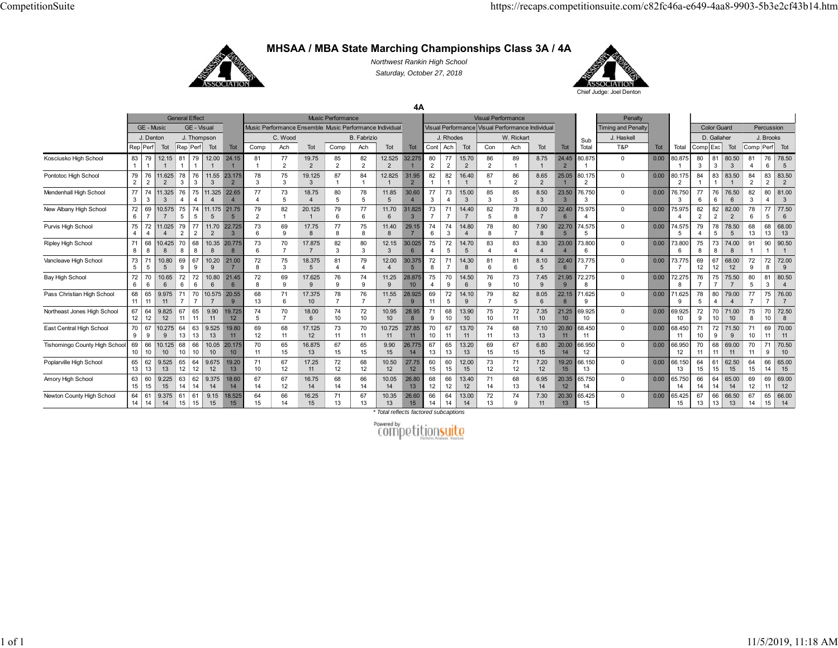

**MHSAA / MBA State Marching Championships Class 3A / 4A**

*Northwest Rankin High School Saturday, October 27, 2018*

**4A**



General Effect **Music Performance** Music Performance Visual Performance Visual Performance Sub TotalPenalty Total GE - Music GE - Visual Music Performance Ensemble Music Performance Individual Visual Performance Visual Performance Individual Timing and Penalty Color Guard Percussion J. Denton J. Thompson **C. Wood B. Fabrizio J. J. Rhodes W. Rickart J. Le**tter J. Haskell **J. D. Gallaher J. Brooks** Rep|Perf| Tot |Rep|Perf| Tot | Comp | Ach | Tot | Comp | Ach | Tot | Tot | Cont |Ach | Tot | Tot | Tot | Total | Tot | Tot | Tot | Tot | Tot | Comp|Cxc | Tot | Comp|Perf| Tot Kosciusko High School 83 12.15 12.00 24.15 19.75 12.525 32.275 15.70 8.75 24.45 80.875 0.00 80.875 80.50 678.50 Pontotoc High School 79 11.625 2 2 3 11.55 3 23.175 2 19.125 3 12.825 1 31.95 16.40 8.65 2 25.05 1 80.175 0 0.00 80.175 83.50 1 2 2 83.50 2 Mendenhall High School 77 11.325 11.325 22.65 18.75 11.85 30.60 15.00 8.50 23.5076.750 0.00 76.750 76.50 81.00 New Albany High School 72 10.575 11.175 21.75 20.125 11.70 6 31.825 14.40 8.0022.40 6 75.975 0.00 75.975 2 82.00 2 6 5 77.50 6 Purvis High School 75 11.025 4 4 79 1 77 2 2 11.70 2 22.725 3 17.75 11.40 8 29.15 6 14.80 7.90 8 22.70 5 74.575 0.00 74.575 4 78.50 5 13 68.00 Ripley High School 71 68 |10.425| 70 | 68 10.3520.775 17.875 12.1530.025 14.70 8.30 23.00 73.800 0.00 73.800 74.00 90.50Vancleave High School 73 5 5 10.80 5 9 10.20 9 21.00 8 3 18.375 5 12.00 4 30.375 5 8 14.30 8 6 8.10 5 22.40 6 73.775 0.00 73.775 68.00 9 8 72.00 9 Bay High School 72 10.65 10.8021.45 17.625 11.2528.875 14.50 7.45 21.9572.275 0.00 72.275 75.50 380.50 Pass Christian High School 68 9.975 710.575 7 20.55 9 17.375 11.55 28.925 5 14.10 8.05 22.15 71.625 0.00 71.625 79.00 4 776.00 Northeast Jones High School 67 9.825  $\begin{array}{|c|c|c|c|}\n\hline\n67 & 10.275 & 64 & 63 \\
\hline\n9 & 9 & 13 & 13\n\end{array}$  119.90 19.725 18.00 10.95 28.95 9 13.90 7.35 21.25 69.925 0.00 69.925 9 71.00 8 72.508 East Central High School 70 10.275 9 13 13 9.525 19.80 17.125 10.725 27.85 13.70 7.10 20.80 68.450 0.00 68.450 71.50 9 70.00 Tishomingo County High School 69 10.125 68 | 66 10.05 20.175 16.875 9.90 26.775 13.20 6.80 20.00 66.950 0.00 66.950 69.00 9 70.50 Poplarville High School 65 62 9.525 12 12 9.675 19.20 17.25 10.50 27.75 12.00 7.20 19.20 66.150 0.00 66.150 62.50 14 65.00 Amory High School 63 159.225 63 | 62<br>14 | 14 9.375 18.60 16.75 10.05 26.80 1213.40 6.95 20.35 65.750 0.00 65.750 65.00 1169.00 Newton County High School 9.375 9.15 18.525 15 16.25 10.35 26.60 14 13.00 7.30 20.30 65.425 0.00 65.425 13 66.50 14 15 66.00

*\* Total reflects factored subcaptions*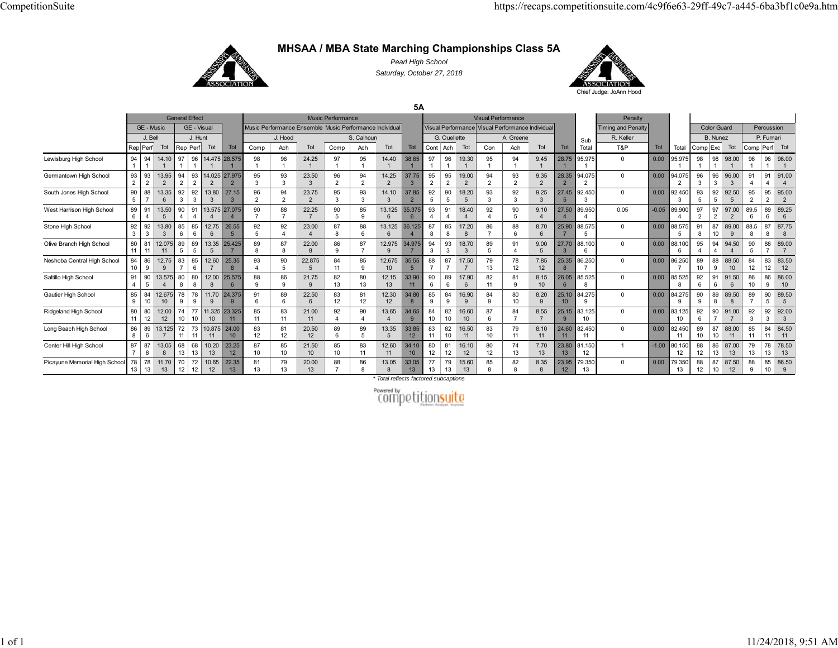

**MHSAA / MBA State Marching Championships Class 5A**

*Pearl High School Saturday, October 27, 2018*



**5A**

|                               |                        |                      |                         |          | <b>General Effect</b> |                           |                          |                     |                                                         |                          | <b>Music Performance</b> |                      |                         |                           |                      |                      |                         |                     | <b>Visual Performance</b>                        |                      |                           |                            | Penalty                   |         |                          |                      |                      |                           |           |                       |                        |
|-------------------------------|------------------------|----------------------|-------------------------|----------|-----------------------|---------------------------|--------------------------|---------------------|---------------------------------------------------------|--------------------------|--------------------------|----------------------|-------------------------|---------------------------|----------------------|----------------------|-------------------------|---------------------|--------------------------------------------------|----------------------|---------------------------|----------------------------|---------------------------|---------|--------------------------|----------------------|----------------------|---------------------------|-----------|-----------------------|------------------------|
|                               |                        | GE - Music           |                         |          | GE - Visual           |                           |                          |                     | Music Performance Ensemble Music Performance Individual |                          |                          |                      |                         |                           |                      |                      |                         |                     | Visual Performance Visual Performance Individual |                      |                           |                            | <b>Timing and Penalty</b> |         |                          |                      | <b>Color Guard</b>   |                           |           | Percussion            |                        |
|                               |                        | J. Bell              |                         |          | J. Hunt               |                           |                          |                     | J. Hood                                                 |                          |                          | S. Calhoun           |                         |                           |                      | G. Quellette         |                         |                     | A. Greene                                        |                      |                           | Sub                        | R. Keller                 |         |                          |                      | B. Nunez             |                           |           | P. Furnari            |                        |
|                               | Rep Perf               |                      | Tot                     |          | Rep Perf              | Tot                       | <b>Tot</b>               | Comp                | Ach                                                     | Tot                      | Comp                     | Ach                  | Tot                     | <b>Tot</b>                |                      | Cont Ach             | Tot                     | Con                 | Ach                                              | Tot                  | Tot                       | Total                      | T&P                       | Tot     | Total                    | Comp <sup>Exc</sup>  |                      | Tot                       | Comp      | Perf                  | Tot                    |
| Lewisburg High School         | 94                     | 94                   | 14.10                   | 97       | 96                    |                           | 14.475 28.575            | 98                  | 96                                                      | 24.25                    | 97                       | 95                   | 14.40                   | 38.65                     | 97                   | 96                   | 19.30                   | 95                  | 94                                               | 9.45                 | 28.75                     | 95.975                     | $^{\circ}$                | 0.00    | 95.975                   | 98                   | 98                   | 98.00                     | 96        | 96                    | 96.00                  |
| Germantown High School        | 93<br>2                | 93<br>$\overline{2}$ | 13.95<br>$\overline{2}$ | 94       | 93                    | 2                         | 14.025 27.975            | 95<br>3             | 93<br>$\mathbf{3}$                                      | 23.50<br>$\mathcal{R}$   | 96<br>$\overline{2}$     | 94<br>$\Omega$       | 14.25<br>$\overline{2}$ | 37.75                     | 95<br>$\overline{2}$ | 95<br>$\overline{2}$ | 19.00<br>$\overline{2}$ | 94<br>$\Omega$      | 93<br>$\overline{2}$                             | 9.35                 | 28.35                     | 94.075<br>$\sim$           | $\mathbf{0}$              | 0.00    | 94.075<br>$\overline{2}$ | 96                   | 96<br>3              | 96.00<br>$\mathbf{3}$     | 91        | 91                    | 91.00                  |
| South Jones High School       | 90                     | 88                   | 13.35<br>6              | 92       | 92<br>3               | 13.80<br>3                | 27.15<br>$\mathbf{3}$    | 96<br>$\mathcal{L}$ | 94<br>2                                                 | 23.75                    | 95<br>3                  | 93<br>3              | 14.10<br>$\mathcal{R}$  | 37.85                     | 92                   | 90                   | 18.20<br>$\overline{5}$ | 93<br>$\mathcal{R}$ | 92<br>$\mathbf{3}$                               | 9.25                 | 27.45                     | 92.450<br>3                | $\Omega$                  | 0.00    | 92.450<br>3              | 93                   | 92<br>5              | 92.50<br>$\overline{5}$   | 95        | 95                    | 95.00<br>$\mathcal{P}$ |
| West Harrison High School     | 89<br>6                | 91                   | 13.50<br>5              | 90       | 91                    |                           | 13.575 27.075            | 90                  | 88<br>$\rightarrow$                                     | 22.25                    | 90<br>5                  | 85<br>q              | 13.125<br>6             | 35.375                    | 93                   | 91                   | 18.40                   | 92                  | 90<br>5                                          | 9.10                 | 27.50                     | 89.950                     | 0.05                      | $-0.05$ | 89,900                   | 97<br>$\overline{2}$ | 97<br>$\overline{2}$ | 97.00<br>$\overline{2}$   | 89.5<br>6 | 89<br>6               | 89.25                  |
| Stone High School             | 92<br>3                | 92<br>3              | 13.80<br>-3             | 85       | 85<br>6               | 12.75<br>6                | 26.55<br>$5\overline{5}$ | 92                  | 92<br>$\lambda$                                         | 23.00                    | 87<br>8                  | 88<br>6              | 13.125<br>6             | 36.125                    | 87                   | 85<br>8              | 17.20<br>8              | 86                  | 88<br>6                                          | 8.70                 | 25.90                     | 88.575<br>5                | $\Omega$                  | 0.00    | 88.575<br>5              | 91<br>8              | 87<br>10             | 89.00                     | 88.5<br>8 | 87<br>8               | 87.75                  |
| Olive Branch High School      | 80<br>11               | 81                   | 12.075<br>11            | 89       | 89<br>5               | 13.35<br>$5\overline{5}$  | 25.425                   | 89<br>8             | 87<br>8                                                 | 22.00                    | 86<br>9                  | 87<br>$\overline{ }$ | 12.975<br>$\alpha$      | 34,975                    | 94<br>3              | 93<br>3              | 18.70<br>3              | 89                  | 91                                               | 9.00                 | 27.70                     | 88.100<br>$\epsilon$       | 0                         | 0.00    | 88.100<br>6              | 95                   | 94                   | 94.50                     | 90<br>5   | 88                    | 89.00                  |
| Neshoba Central High School   | 84<br>10 <sup>10</sup> | 86<br>9              | 12.75<br>9              | 83       | 85<br>6               | 12.60<br>$\overline{7}$   | 25.35<br>$\overline{8}$  | 93                  | 90<br>$\sqrt{5}$                                        | 22.875                   | 84<br>11                 | 85<br>$\mathbf{Q}$   | 12.675<br>10            | 35.55                     | 88                   | 87                   | 17.50                   | 79<br>13            | 78<br>12                                         | 7.85<br>12           | 25.35<br>$\mathbf{8}$     | 86.250                     | $\mathbf{0}$              | 0.00    | 86.250                   | 89<br>10             | 88<br>9              | 88.50<br>10 <sup>10</sup> | 84<br>12  | 83<br>12 <sup>2</sup> | 83.50<br>12            |
| Saltillo High School          | 91<br>$\overline{4}$   | 90<br>5              | 13.575                  | 80       | 80<br>8               | 12.00<br>$\mathsf{R}$     | 25.575<br>6              | 88<br>$\Omega$      | 86<br>9                                                 | 21.75                    | 82<br>13                 | 80<br>13             | 12.15<br>13             | 33.90<br>11               | 90                   | 89<br>ĥ              | 17.90<br>6              | 82<br>11            | 81<br>9                                          | 8.15<br>10           | 26.05<br>$6 \overline{6}$ | 85.525<br>8                | $\mathbf{0}$              | 0.00    | 85.525<br>8              | 92<br>6              | 91                   | 91.50<br>6                | 86<br>10  | 86<br>$\mathbf{q}$    | 86.00<br>10            |
| Gautier High School           | 85<br>9                | 84                   | 12.675<br>10            | 78       | 78<br>9               | 11.70<br>9                | 24.375<br>9              | 91                  | 89<br>6                                                 | 22.50                    | 83<br>12                 | 81<br>12             | 12.30<br>12             | 34.80                     | 85                   | 84<br>g              | 16.90<br>9              | 84                  | 80<br>10                                         | 8.20<br>$\mathbf{q}$ | 25.10<br>10               | 84.275<br>9                | $\Omega$                  | 0.00    | 84.275<br>9              | 90<br>9              | 89<br>8              | 89.50<br>8                | 89        | 90<br>5               | 89.50                  |
| Ridgeland High School         | 80<br>11               | 80<br>12             | 12.00<br>12             | 74<br>10 | 77<br>10              | 11.325<br>10 <sup>1</sup> | 23.325<br>11             | 85<br>11            | 83<br>11                                                | 21.00<br>11              | 92                       | 90                   | 13.65                   | 34.65                     | 84<br>10             | 82<br>10             | 16.60<br>10             | 87                  | 84                                               | 8.55                 | 25.15                     | 83.125<br>10 <sup>10</sup> | $\Omega$                  | 0.00    | 83.125<br>10             | 92<br>ĥ              | 90                   | 91.00                     | 92<br>3   | 92<br>$\mathcal{R}$   | 92.00                  |
| Long Beach High School        | 86<br>8                | 89<br>-6             | 13.125                  | 72       | 73<br>11              | 10.875<br>11              | 24.00<br>10 <sup>1</sup> | 83<br>12            | 81<br>12                                                | 20.50<br>12              | 89<br>6                  | 89<br>5              | 13.35<br>$\overline{5}$ | 33.85<br>12 <sup>2</sup>  | 83<br>11             | 82<br>10             | 16.50<br>11             | 83<br>10            | 79<br>11                                         | 8.10<br>11           | 24.60<br>11               | 82.450<br>11               | $\Omega$                  | 0.00    | 82.450<br>11             | 89<br>10             | 87                   | 88.00<br>11               | 85<br>11  | 84<br>11              | 84.50<br>11            |
| Center Hill High School       | 87<br>$\overline{z}$   | 87<br>8              | 13.05<br>8              | 68<br>13 | 68<br>13              | 10.20<br>13               | 23.25<br>12              | 87<br>10            | 85<br>10                                                | 21.50<br>10 <sup>°</sup> | 85<br>10                 | 83<br>11             | 12.60<br>11             | 34.10<br>10 <sup>10</sup> | 80<br>12             | 81<br>12             | 16.10<br>12             | 80<br>12            | 74<br>13                                         | 7.70<br>13           | 23.80<br>13               | 31.150<br>12               | -1                        | $-1.00$ | 80.150<br>12             | 88<br>12             | 86<br>13             | 87.00<br>13               | 79<br>13  | 78<br>13              | 78.50<br>13            |
| Picayune Memorial High School | 78<br>13               | 78<br>13             | 11.70<br>13             | 70<br>12 | 72<br>12              | 10.65<br>12               | 22.35<br>13              | 81<br>13            | 79<br>13                                                | 20.00<br>13              | 88                       | 86<br>8              | 13.05<br>$\mathbf{R}$   | 33.05<br>13               | 77<br>13             | 79<br>13             | 15.60<br>13             | 85                  | 82<br>$\mathsf{R}$                               | 8.35                 | 23.95<br>12               | 79.350<br>13               | $\mathbf{0}$              | 0.00    | 79.350<br>13             | 88<br>12             | 87<br>10             | 87.50<br>12               | 88<br>9   | 85<br>10              | 86.50<br>$\mathbf{q}$  |

*\* Total reflects factored subcaptions*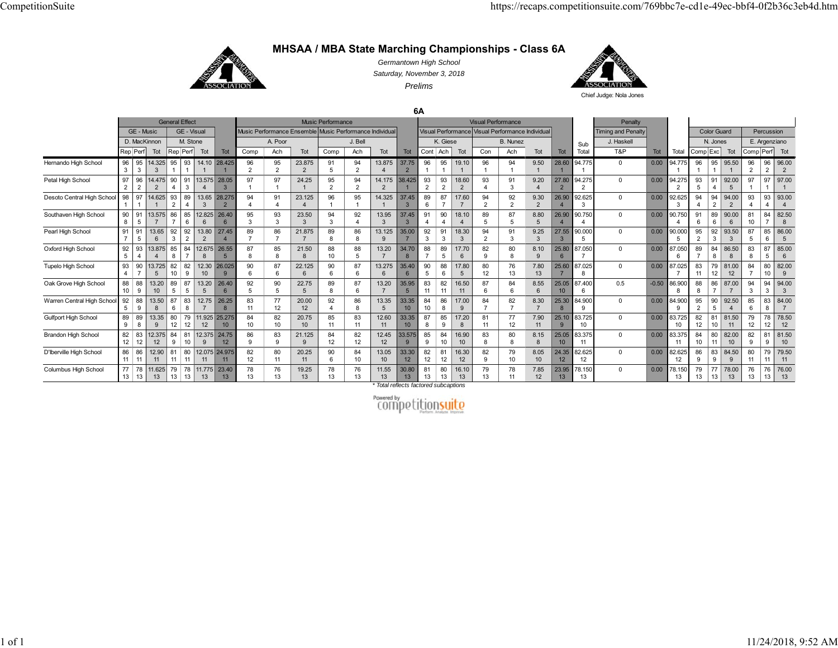

**MHSAA / MBA State Marching Championships - Class 6A**

*Germantown High School Saturday, November 3, 2018 Prelims*



Chief Judge: Nola Jones

**6A**

|                            |                      |                      |              |          | <b>General Effect</b> |                            |                           |                      |          |                                                         | <b>Music Performance</b> |                      |                          |                          |                      |          |             | <b>Visual Performance</b> |                                                  |                        |                          |                    | Penalty                   |         |                          |                      |                      |                         |                      |                    |                         |
|----------------------------|----------------------|----------------------|--------------|----------|-----------------------|----------------------------|---------------------------|----------------------|----------|---------------------------------------------------------|--------------------------|----------------------|--------------------------|--------------------------|----------------------|----------|-------------|---------------------------|--------------------------------------------------|------------------------|--------------------------|--------------------|---------------------------|---------|--------------------------|----------------------|----------------------|-------------------------|----------------------|--------------------|-------------------------|
|                            |                      | GE - Music           |              |          | GE - Visual           |                            |                           |                      |          | Music Performance Ensemble Music Performance Individual |                          |                      |                          |                          |                      |          |             |                           | Visual Performance Visual Performance Individual |                        |                          |                    | <b>Timing and Penalty</b> |         |                          |                      | <b>Color Guard</b>   |                         |                      | Percussion         |                         |
|                            |                      | D. MacKinnon         |              |          | M. Stone              |                            |                           |                      | A. Poor  |                                                         |                          | J. Bell              |                          |                          |                      | K. Giese |             |                           | <b>B.</b> Nunez                                  |                        |                          | Sub                | J. Haskell                |         |                          |                      | N. Jones             |                         |                      | E. Argenziano      |                         |
|                            |                      | Rep Perf             | Tot          |          | Rep Perf              | Tot                        | Tot                       | Comp                 | Ach      | Tot                                                     | Comp                     | Ach                  | Tot                      | Tot                      | Cont                 | Ach      | Tot         | Con                       | Ach                                              | Tot                    | Tot                      | Total              | T&P                       | Tot     | Total                    | Comp <sup>Exc</sup>  |                      | Tot                     | Comp Perf Tot        |                    |                         |
| Hernando High School       | 96<br>3              | 95<br>3              | 14.325<br>3  | 95       | 93                    | 14.10                      | 28,425                    | 96<br>$\mathfrak{p}$ | 95<br>2  | 23.875<br>2                                             | 91<br>5                  | 94<br>$\overline{2}$ | 13.875                   | 37.75<br>$\overline{2}$  | 96                   | 95       | 19.10       | 96                        | 94                                               | 9.50                   | 28.60                    | 94.775             | $\overline{0}$            | 0.00    | 94.775                   | 96                   | 95                   | 95.50                   | 96<br>$\overline{2}$ | 96                 | 96.00                   |
| Petal High School          | 97<br>2              | 96<br>2              | 14,475<br>2  | 90       | 91<br>3               | 13.575                     | 28.05                     | 97                   | 97       | 24.25                                                   | 95<br>$\overline{2}$     | 94<br>$\overline{2}$ | 14.175<br>$\overline{2}$ | 38.425                   | 93<br>$\overline{2}$ | 93<br>2  | 18.60<br>2  | 93                        | 91<br>3                                          | 9.20                   | 27.80                    | 94.275             | $\overline{0}$            | 0.00    | 94.275<br>$\overline{2}$ | 93<br>5              | 91<br>$\overline{4}$ | 92.00<br>$\overline{5}$ | 97                   | 97                 | 97.00                   |
| Desoto Central High School | 98                   | 97                   | 14.625       | 93       | 89                    | 13.65<br>3                 | 28.275                    | 94                   | 91       | 23.125<br>$\boldsymbol{\Delta}$                         | 96                       | 95                   | 14.325                   | 37.45<br>3               | 89<br>6              | 87       | 17.60       | 94<br>$\Omega$            | 92<br>$\overline{2}$                             | 9.30<br>$\overline{2}$ | 26.90                    | 92.625             | $\overline{0}$            | 0.00    | 92.625<br>3              | 94                   | 94<br>$\overline{2}$ | 94.00                   | 93                   | 93                 | 93.00                   |
| Southaven High School      | 90<br>8              | 91<br>5              | 13.575       | 86       | 85<br>6               | 12.825<br>$6 \overline{6}$ | 26.40                     | 95<br>$\mathbf{z}$   | 93<br>3  | 23.50<br>$\mathbf{3}$                                   | 94<br>3                  | 92                   | 13.95<br>$\mathbf{3}$    | 37.45<br>3               | 91                   | 90       | 18.10       | 89<br>5                   | 87<br>5                                          | 8.80<br>$\overline{5}$ | 26.90                    | 90.750             | $\overline{0}$            | 0.00    | 90.750                   | 91<br>6              | 89<br>6              | 90.00<br>6              | 81<br>10             | 84                 | 82.50<br>$\mathbf{R}$   |
| Pearl High School          | 91                   | 91<br>5              | 13.65<br>6   | 92<br>3  | 92<br>$\overline{2}$  | 13.80<br>$\overline{2}$    | 27.45                     | 89                   | 86       | 21,875                                                  | 89<br>8                  | 86<br>8              | 13.125<br>$\mathbf{Q}$   | 35.00                    | 92<br>3              | 91<br>3  | 18.30<br>3  | 94<br>$\mathfrak{p}$      | 91<br>3                                          | 9.25<br>3              | 27.55                    | 90.000             | $\mathbf 0$               | 0.00    | 90.000                   | 95<br>2              | 92<br>3              | 93.50<br>3              | 87<br>5              | 85<br>6            | 86.00<br>$\overline{5}$ |
| Oxford High School         | 92<br>5              | 93                   | 13,875       | 85<br>8  | 84                    | 12.675                     | 26.55                     | 87                   | 85<br>8  | 21.50<br>8                                              | 88<br>10                 | 88<br>5              | 13.20                    | 34.70<br>8               | 88                   | 89<br>5  | 17.70<br>6  | 82<br>g                   | 80                                               | 8.10                   | 25.80                    | 87.050             | $^{\circ}$                | 0.00    | 87.050<br>6              | 89                   | 84<br>8              | 86.50<br>8              | 83<br>8              | .87<br>5           | 85.00<br>6              |
| Tupelo High School         | 93<br>$\overline{4}$ | 90<br>$\overline{7}$ | 13.725<br>5  | 82       | 82<br>9               | 12.30<br>10                | 26.025                    | 90                   | 87<br>6  | 22.125<br>6                                             | 90<br>6                  | 87<br>6              | 13.275<br>6              | 35.40<br>6               | 90                   | 88<br>6  | 17.80<br>5  | 80<br>12 <sup>2</sup>     | 76<br>13                                         | 7.80<br>13             | 25.60                    | 37.025             | $\overline{0}$            | 0.00    | 87.025                   | 83                   | 79<br>12             | 81.00<br>12             | 84                   | 80                 | 82.00<br>9              |
| Oak Grove High School      | 88<br>10             | 88<br><b>q</b>       | 13.20<br>10  | 89       | 87                    | 13.20                      | 26.40                     | 92                   | 90<br>5  | 22.75<br>5                                              | 89<br>8                  | 87<br>6              | 13.20<br>$\overline{7}$  | 35.95<br>$5\overline{5}$ | 83<br>11             | 82<br>11 | 16.50<br>11 | 87<br>6                   | 84<br>ĥ                                          | 8.55                   | 25.05<br>10 <sup>1</sup> | 87.400             | 0.5                       | $-0.50$ | 86.900                   | 88                   | 86                   | 87.00                   | 94<br>$\mathcal{R}$  | 94                 | 94.00                   |
| Warren Central High Schoo  | 92<br>5              | 88<br>9              | 13.50<br>8   | 87<br>6  | 83<br>8               | 12.75<br>$\overline{7}$    | 26.25<br>8                | 83<br>11             | 77<br>12 | 20.00<br>12                                             | 92                       | 86<br>8              | 13.35<br>5               | 33.35<br>10              | 84<br>10             | 86<br>8  | 17.00<br>9  | 84                        | 82                                               | 8.30                   | 25.30                    | 84.900             | $\mathbf 0$               | 0.00    | 84.900<br>9              | 95<br>$\overline{2}$ | 90<br>5              | 92.50<br>$\overline{4}$ | 85<br>6              | 83<br>8            | 84.00                   |
| Gulfport High School       | 89<br>9              | 89<br>8              | 13.35<br>9   | 80       | 79<br>12              | 11.925<br>12               | 25,275<br>10 <sup>°</sup> | 84<br>10             | 82<br>10 | 20.75<br>10                                             | 85<br>11                 | 83<br>11             | 12.60<br>11              | 33.35<br>10              | 87                   | 85<br>9  | 17.20<br>8  | 81<br>11                  | 77<br>12                                         | 7.90<br>11             |                          | 25.10 83.725<br>10 | $\mathbf 0$               | 0.00    | 83.725<br>10             | 82<br>12             | 81<br>10             | 81.50<br>11             | 79<br>12             | 78                 | 78.50<br>12             |
| <b>Brandon High School</b> | 82<br>12             | 83<br>12             | 12.375<br>12 | 84<br>9  | 81<br>10              | 12.375<br>9                | 24.75<br>12               | 86                   | 83<br>9  | 21.125<br>9                                             | 84<br>12                 | 82<br>12             | 12.45<br>12              | 33.575<br>9              | 85<br>9              | 84<br>10 | 16.90<br>10 | 83<br>8                   | 80                                               | 8.15<br>8              | 25.05<br>10 <sup>1</sup> | 83.375             | $\overline{0}$            | 0.00    | 83.375<br>11             | 84<br>10             | 80<br>11             | 82.00<br>10             | 82<br>9              | 81<br>$\mathbf{Q}$ | 81.50<br>10             |
| D'Iberville High School    | 86<br>11             | 86<br>11             | 12.90<br>11  | 81       | 80<br>11              | 11                         | 12.075 24.975<br>11       | 82<br>12             | 80<br>11 | 20.25<br>11                                             | 90<br>6                  | 84<br>10             | 13.05<br>10              | 33.30<br>12              | 82<br>12             | 81<br>12 | 16.30<br>12 | 82<br>g                   | 79<br>10                                         | 8.05<br>10             | 24.35<br>12              | 32.625<br>12       | $\mathbf 0$               | 0.00    | 82.625<br>12             | 86                   | 83<br>9              | 84.50<br>9              | 80<br>11             | 79<br>11           | 79.50<br>11             |
| Columbus High School       | 77<br>13             | 78<br>13             | 11.625<br>13 | 79<br>13 | 78<br>13              | 11.775<br>13               | 23.40<br>13               | 78                   | 76<br>13 | 19.25<br>13                                             | 78<br>13                 | 76<br>13             | 11.55<br>13              | 30.80<br>13              | 81<br>13             | 80<br>13 | 16.10<br>13 | 79<br>13                  | 78<br>11                                         | 7.85<br>12             | 23.95<br>13              | 78.150<br>13       | $\Omega$                  | 0.00    | 78.150<br>13             | 79<br>13             | 77<br>13             | 78.00<br>13             | 76<br>13             | 76<br>13           | 76.00<br>13             |

*\* Total reflects factored subcaptions*